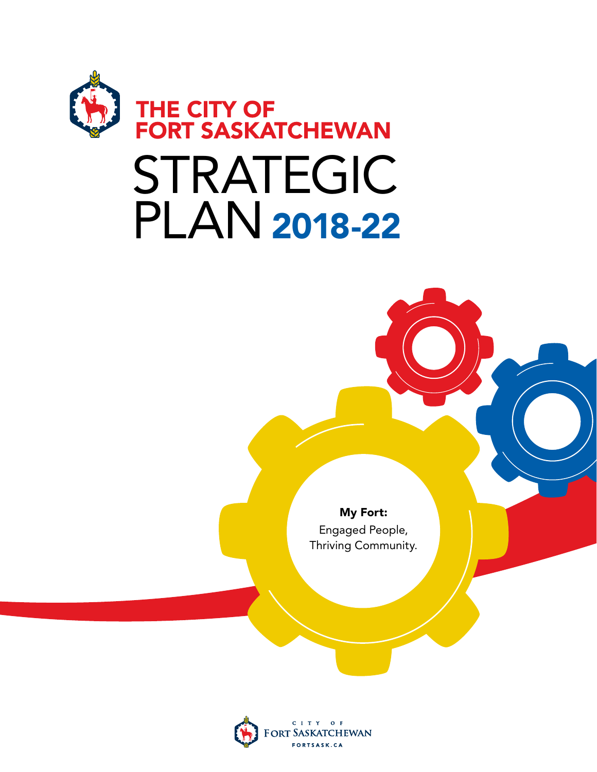

# STRATEGIC PLAN2018-22

My Fort: Engaged People, Thriving Community.

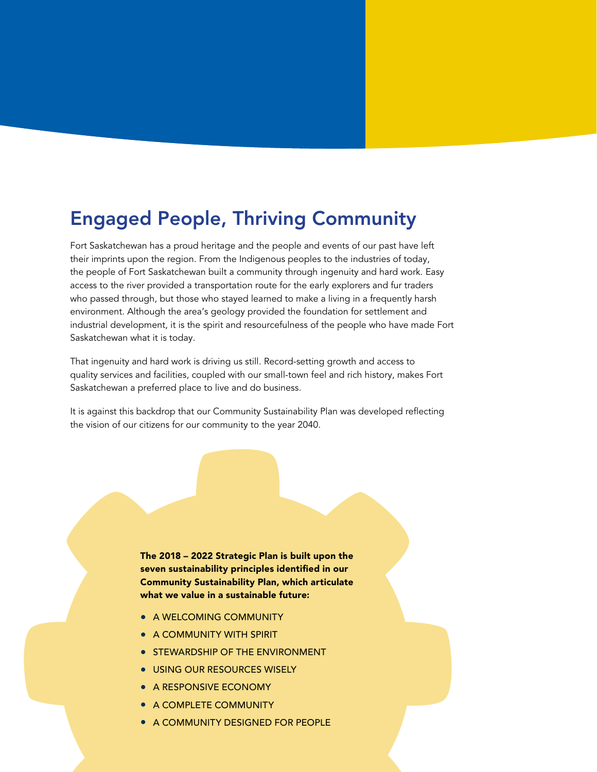# Engaged People, Thriving Community

Fort Saskatchewan has a proud heritage and the people and events of our past have left their imprints upon the region. From the Indigenous peoples to the industries of today, the people of Fort Saskatchewan built a community through ingenuity and hard work. Easy access to the river provided a transportation route for the early explorers and fur traders who passed through, but those who stayed learned to make a living in a frequently harsh environment. Although the area's geology provided the foundation for settlement and industrial development, it is the spirit and resourcefulness of the people who have made Fort Saskatchewan what it is today.

That ingenuity and hard work is driving us still. Record-setting growth and access to quality services and facilities, coupled with our small-town feel and rich history, makes Fort Saskatchewan a preferred place to live and do business.

It is against this backdrop that our Community Sustainability Plan was developed reflecting the vision of our citizens for our community to the year 2040.

> The 2018 – 2022 Strategic Plan is built upon the seven sustainability principles identified in our Community Sustainability Plan, which articulate what we value in a sustainable future:

- A WELCOMING COMMUNITY
- A COMMUNITY WITH SPIRIT
- **STEWARDSHIP OF THE ENVIRONMENT**
- USING OUR RESOURCES WISELY
- A RESPONSIVE ECONOMY
- A COMPLETE COMMUNITY
- A COMMUNITY DESIGNED FOR PEOPLE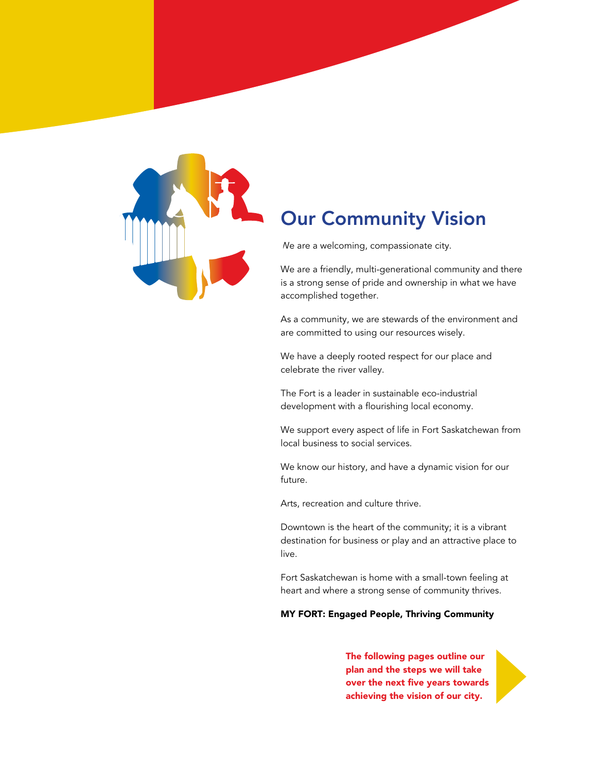

# Our Community Vision

We are a welcoming, compassionate city.

We are a friendly, multi-generational community and there is a strong sense of pride and ownership in what we have accomplished together.

As a community, we are stewards of the environment and are committed to using our resources wisely.

We have a deeply rooted respect for our place and celebrate the river valley.

The Fort is a leader in sustainable eco-industrial development with a flourishing local economy.

We support every aspect of life in Fort Saskatchewan from local business to social services.

We know our history, and have a dynamic vision for our future.

Arts, recreation and culture thrive.

Downtown is the heart of the community; it is a vibrant destination for business or play and an attractive place to live.

Fort Saskatchewan is home with a small-town feeling at heart and where a strong sense of community thrives.

#### MY FORT: Engaged People, Thriving Community

The following pages outline our plan and the steps we will take over the next five years towards achieving the vision of our city.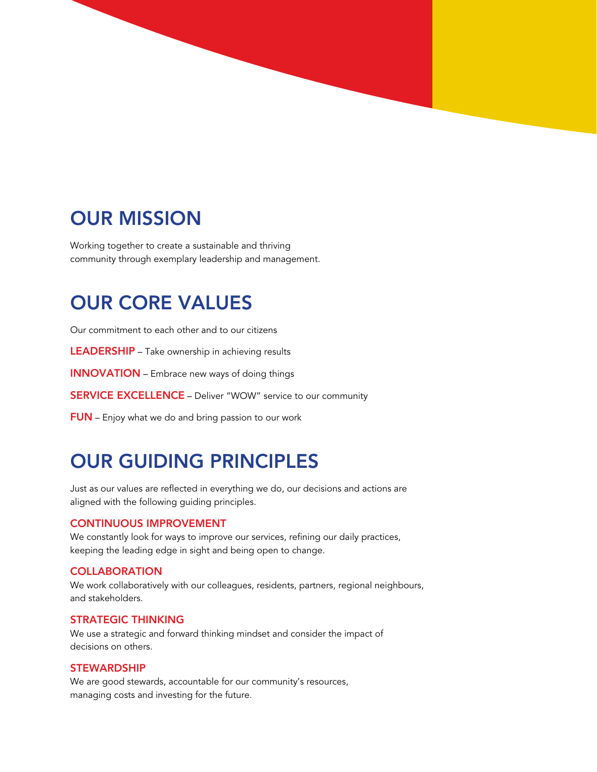# OUR MISSION

Working together to create a sustainable and thriving community through exemplary leadership and management.

# OUR CORE VALUES

Our commitment to each other and to our citizens

LEADERSHIP – Take ownership in achieving results

INNOVATION – Embrace new ways of doing things

SERVICE EXCELLENCE – Deliver "WOW" service to our community

FUN – Enjoy what we do and bring passion to our work

# OUR GUIDING PRINCIPLES

Just as our values are reflected in everything we do, our decisions and actions are aligned with the following guiding principles.

#### CONTINUOUS IMPROVEMENT

We constantly look for ways to improve our services, refining our daily practices, keeping the leading edge in sight and being open to change.

#### **COLLABORATION**

We work collaboratively with our colleagues, residents, partners, regional neighbours, and stakeholders.

#### STRATEGIC THINKING

We use a strategic and forward thinking mindset and consider the impact of decisions on others.

#### **STEWARDSHIP**

We are good stewards, accountable for our community's resources, managing costs and investing for the future.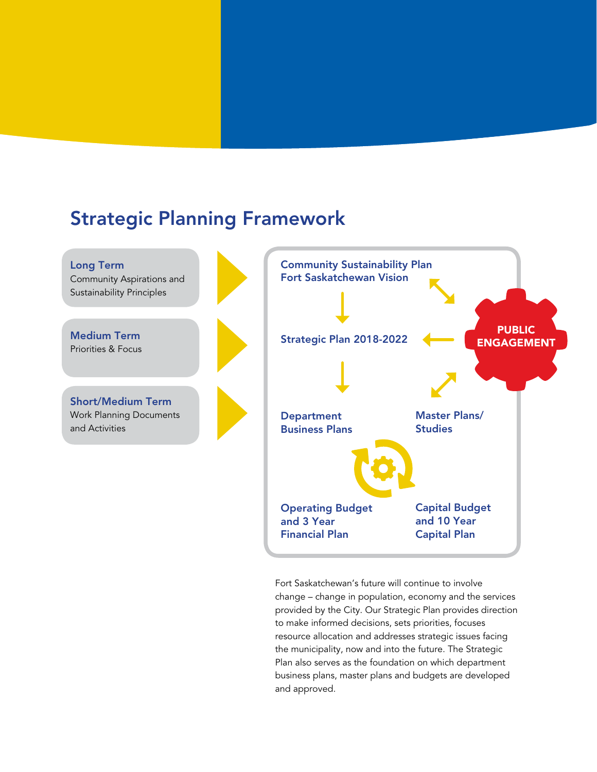### Strategic Planning Framework



Fort Saskatchewan's future will continue to involve change – change in population, economy and the services provided by the City. Our Strategic Plan provides direction to make informed decisions, sets priorities, focuses resource allocation and addresses strategic issues facing the municipality, now and into the future. The Strategic Plan also serves as the foundation on which department business plans, master plans and budgets are developed and approved.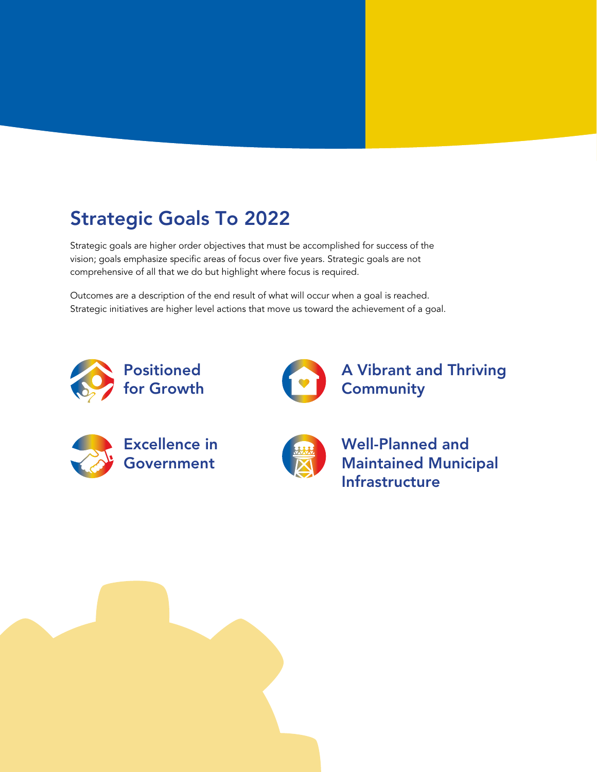# Strategic Goals To 2022

Strategic goals are higher order objectives that must be accomplished for success of the vision; goals emphasize specific areas of focus over five years. Strategic goals are not comprehensive of all that we do but highlight where focus is required.

Outcomes are a description of the end result of what will occur when a goal is reached. Strategic initiatives are higher level actions that move us toward the achievement of a goal.





A Vibrant and Thriving **Community** 





Well-Planned and Maintained Municipal Infrastructure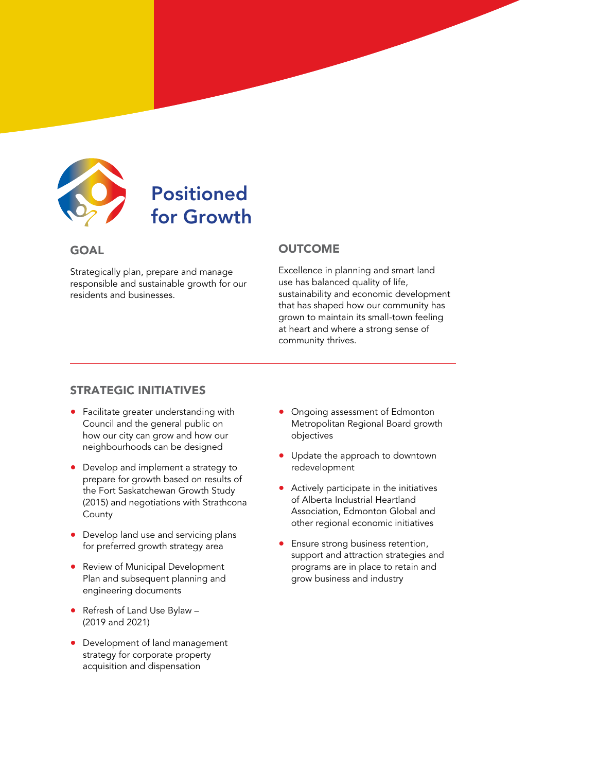

# Positioned for Growth

### GOAL

Strategically plan, prepare and manage responsible and sustainable growth for our residents and businesses.

### **OUTCOME**

Excellence in planning and smart land use has balanced quality of life, sustainability and economic development that has shaped how our community has grown to maintain its small-town feeling at heart and where a strong sense of community thrives.

- Facilitate greater understanding with Council and the general public on how our city can grow and how our neighbourhoods can be designed
- Develop and implement a strategy to prepare for growth based on results of the Fort Saskatchewan Growth Study (2015) and negotiations with Strathcona **County**
- Develop land use and servicing plans for preferred growth strategy area
- Review of Municipal Development Plan and subsequent planning and engineering documents
- Refresh of Land Use Bylaw (2019 and 2021)
- Development of land management strategy for corporate property acquisition and dispensation
- Ongoing assessment of Edmonton Metropolitan Regional Board growth objectives
- Update the approach to downtown redevelopment
- Actively participate in the initiatives of Alberta Industrial Heartland Association, Edmonton Global and other regional economic initiatives
- Ensure strong business retention, support and attraction strategies and programs are in place to retain and grow business and industry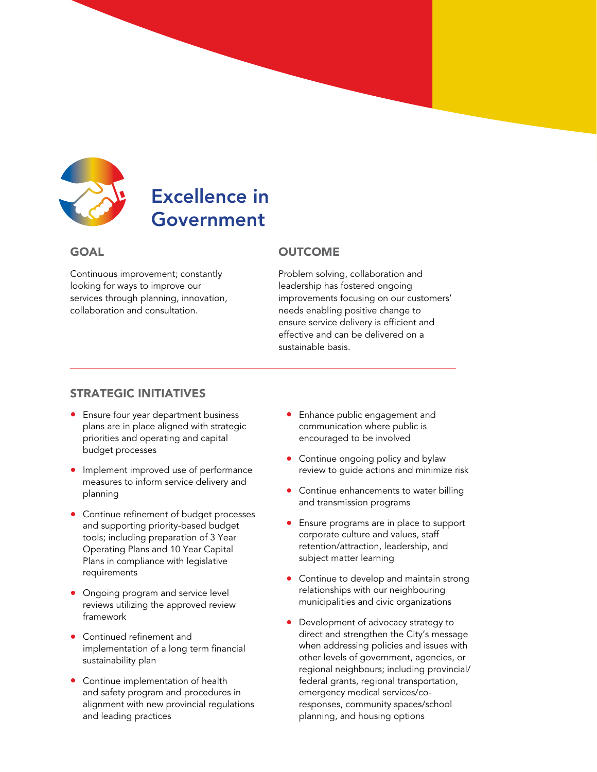

# Excellence in Government

### **GOAL**

Continuous improvement; constantly looking for ways to improve our services through planning, innovation, collaboration and consultation.

### **OUTCOME**

Problem solving, collaboration and leadership has fostered ongoing improvements focusing on our customers' needs enabling positive change to ensure service delivery is efficient and effective and can be delivered on a sustainable basis.

- Ensure four year department business plans are in place aligned with strategic priorities and operating and capital budget processes
- Implement improved use of performance measures to inform service delivery and planning
- Continue refinement of budget processes and supporting priority-based budget tools; including preparation of 3 Year Operating Plans and 10 Year Capital Plans in compliance with legislative requirements
- Ongoing program and service level reviews utilizing the approved review framework
- Continued refinement and implementation of a long term financial sustainability plan
- Continue implementation of health and safety program and procedures in alignment with new provincial regulations and leading practices
- Enhance public engagement and communication where public is encouraged to be involved
- Continue ongoing policy and bylaw review to guide actions and minimize risk
- Continue enhancements to water billing and transmission programs
- Ensure programs are in place to support corporate culture and values, staff retention/attraction, leadership, and subject matter learning
- Continue to develop and maintain strong relationships with our neighbouring municipalities and civic organizations
- Development of advocacy strategy to direct and strengthen the City's message when addressing policies and issues with other levels of government, agencies, or regional neighbours; including provincial/ federal grants, regional transportation, emergency medical services/coresponses, community spaces/school planning, and housing options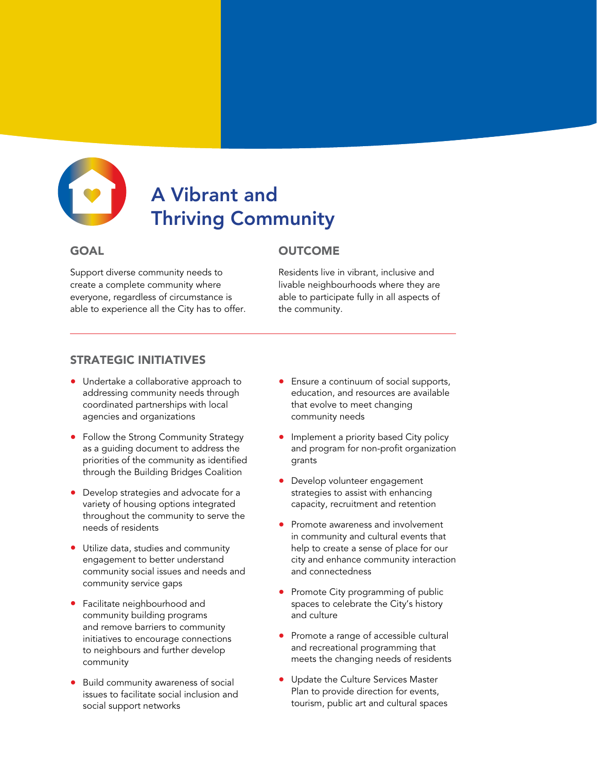

# A Vibrant and Thriving Community

### GOAL

Support diverse community needs to create a complete community where everyone, regardless of circumstance is able to experience all the City has to offer.

### **OUTCOME**

Residents live in vibrant, inclusive and livable neighbourhoods where they are able to participate fully in all aspects of the community.

- Undertake a collaborative approach to addressing community needs through coordinated partnerships with local agencies and organizations
- Follow the Strong Community Strategy as a guiding document to address the priorities of the community as identified through the Building Bridges Coalition
- Develop strategies and advocate for a variety of housing options integrated throughout the community to serve the needs of residents
- Utilize data, studies and community engagement to better understand community social issues and needs and community service gaps
- Facilitate neighbourhood and community building programs and remove barriers to community initiatives to encourage connections to neighbours and further develop community
- Build community awareness of social issues to facilitate social inclusion and social support networks
- Ensure a continuum of social supports, education, and resources are available that evolve to meet changing community needs
- Implement a priority based City policy and program for non-profit organization grants
- Develop volunteer engagement strategies to assist with enhancing capacity, recruitment and retention
- Promote awareness and involvement in community and cultural events that help to create a sense of place for our city and enhance community interaction and connectedness
- Promote City programming of public spaces to celebrate the City's history and culture
- Promote a range of accessible cultural and recreational programming that meets the changing needs of residents
- Update the Culture Services Master Plan to provide direction for events, tourism, public art and cultural spaces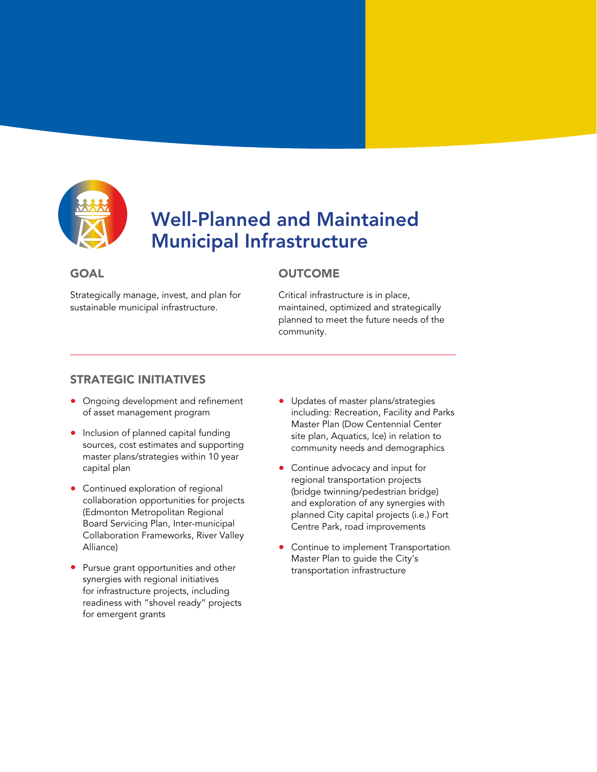

# Well-Planned and Maintained Municipal Infrastructure

### **GOAL**

Strategically manage, invest, and plan for sustainable municipal infrastructure.

### **OUTCOME**

Critical infrastructure is in place, maintained, optimized and strategically planned to meet the future needs of the community.

- Ongoing development and refinement of asset management program
- Inclusion of planned capital funding sources, cost estimates and supporting master plans/strategies within 10 year capital plan
- Continued exploration of regional collaboration opportunities for projects (Edmonton Metropolitan Regional Board Servicing Plan, Inter-municipal Collaboration Frameworks, River Valley Alliance)
- Pursue grant opportunities and other synergies with regional initiatives for infrastructure projects, including readiness with "shovel ready" projects for emergent grants
- Updates of master plans/strategies including: Recreation, Facility and Parks Master Plan (Dow Centennial Center site plan, Aquatics, Ice) in relation to community needs and demographics
- Continue advocacy and input for regional transportation projects (bridge twinning/pedestrian bridge) and exploration of any synergies with planned City capital projects (i.e.) Fort Centre Park, road improvements
- Continue to implement Transportation Master Plan to guide the City's transportation infrastructure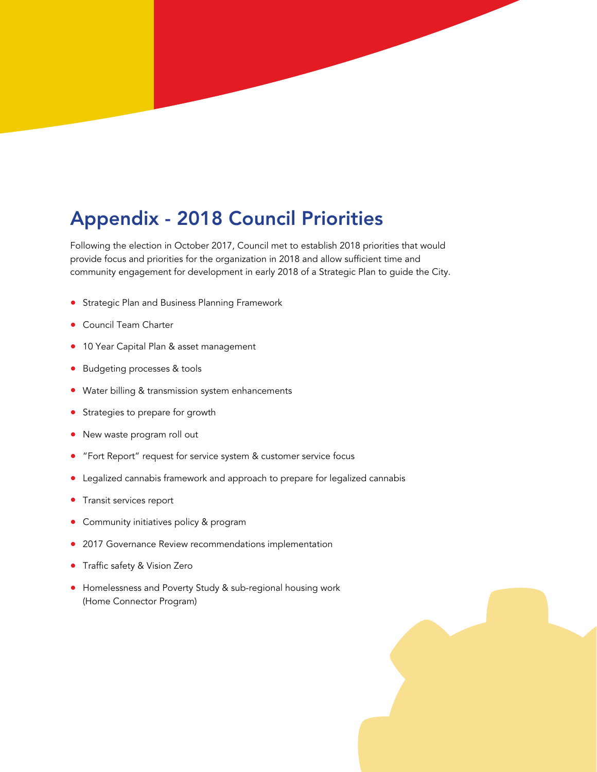# Appendix - 2018 Council Priorities

Following the election in October 2017, Council met to establish 2018 priorities that would provide focus and priorities for the organization in 2018 and allow sufficient time and community engagement for development in early 2018 of a Strategic Plan to guide the City.

- Strategic Plan and Business Planning Framework
- Council Team Charter
- 10 Year Capital Plan & asset management
- Budgeting processes & tools
- Water billing & transmission system enhancements
- Strategies to prepare for growth
- New waste program roll out
- "Fort Report" request for service system & customer service focus
- Legalized cannabis framework and approach to prepare for legalized cannabis
- Transit services report
- Community initiatives policy & program
- 2017 Governance Review recommendations implementation
- Traffic safety & Vision Zero
- Homelessness and Poverty Study & sub-regional housing work (Home Connector Program)